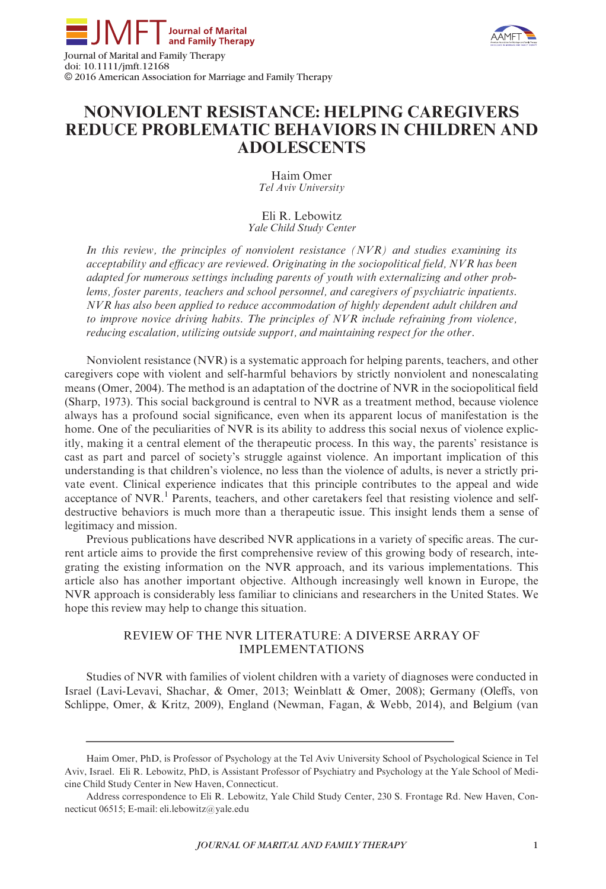



Journal of Marital and Family Therapy doi: 10.1111/jmft.12168 © 2016 American Association for Marriage and Family Therapy

# NONVIOLENT RESISTANCE: HELPING CAREGIVERS REDUCE PROBLEMATIC BEHAVIORS IN CHILDREN AND ADOLESCENTS

Haim Omer Tel Aviv University

Eli R. Lebowitz Yale Child Study Center

In this review, the principles of nonviolent resistance (NVR) and studies examining its acceptability and efficacy are reviewed. Originating in the sociopolitical field, NVR has been adapted for numerous settings including parents of youth with externalizing and other problems, foster parents, teachers and school personnel, and caregivers of psychiatric inpatients. NVR has also been applied to reduce accommodation of highly dependent adult children and to improve novice driving habits. The principles of NVR include refraining from violence, reducing escalation, utilizing outside support, and maintaining respect for the other.

Nonviolent resistance (NVR) is a systematic approach for helping parents, teachers, and other caregivers cope with violent and self-harmful behaviors by strictly nonviolent and nonescalating means (Omer, 2004). The method is an adaptation of the doctrine of NVR in the sociopolitical field (Sharp, 1973). This social background is central to NVR as a treatment method, because violence always has a profound social significance, even when its apparent locus of manifestation is the home. One of the peculiarities of NVR is its ability to address this social nexus of violence explicitly, making it a central element of the therapeutic process. In this way, the parents' resistance is cast as part and parcel of society's struggle against violence. An important implication of this understanding is that children's violence, no less than the violence of adults, is never a strictly private event. Clinical experience indicates that this principle contributes to the appeal and wide acceptance of NVR.<sup>1</sup> Parents, teachers, and other caretakers feel that resisting violence and selfdestructive behaviors is much more than a therapeutic issue. This insight lends them a sense of legitimacy and mission.

Previous publications have described NVR applications in a variety of specific areas. The current article aims to provide the first comprehensive review of this growing body of research, integrating the existing information on the NVR approach, and its various implementations. This article also has another important objective. Although increasingly well known in Europe, the NVR approach is considerably less familiar to clinicians and researchers in the United States. We hope this review may help to change this situation.

# REVIEW OF THE NVR LITERATURE: A DIVERSE ARRAY OF IMPLEMENTATIONS

Studies of NVR with families of violent children with a variety of diagnoses were conducted in Israel (Lavi-Levavi, Shachar, & Omer, 2013; Weinblatt & Omer, 2008); Germany (Oleffs, von Schlippe, Omer, & Kritz, 2009), England (Newman, Fagan, & Webb, 2014), and Belgium (van

Haim Omer, PhD, is Professor of Psychology at the Tel Aviv University School of Psychological Science in Tel Aviv, Israel. Eli R. Lebowitz, PhD, is Assistant Professor of Psychiatry and Psychology at the Yale School of Medicine Child Study Center in New Haven, Connecticut.

Address correspondence to Eli R. Lebowitz, Yale Child Study Center, 230 S. Frontage Rd. New Haven, Connecticut 06515; E-mail: eli.lebowitz@yale.edu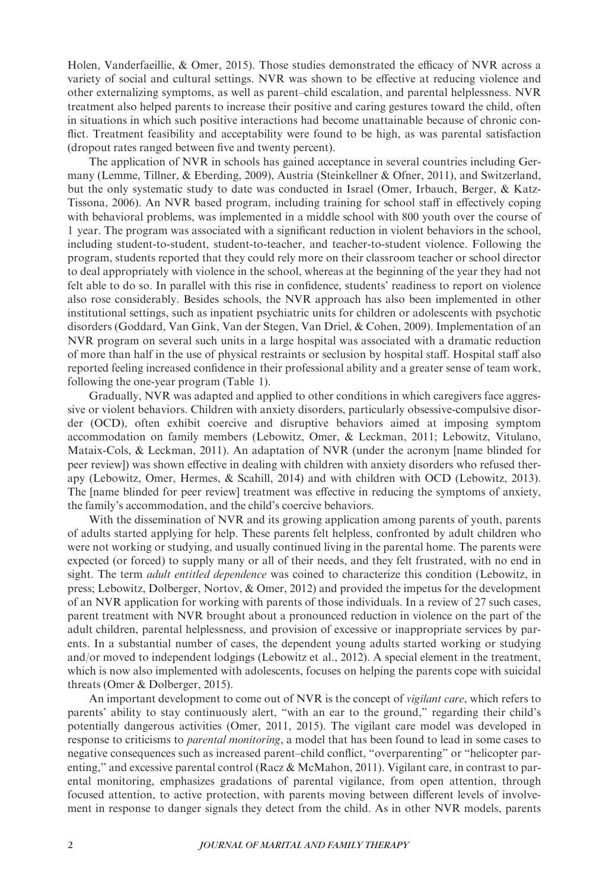Holen, Vanderfaeillie, & Omer, 2015). Those studies demonstrated the efficacy of NVR across a variety of social and cultural settings. NVR was shown to be effective at reducing violence and other externalizing symptoms, as well as parent–child escalation, and parental helplessness. NVR treatment also helped parents to increase their positive and caring gestures toward the child, often in situations in which such positive interactions had become unattainable because of chronic conflict. Treatment feasibility and acceptability were found to be high, as was parental satisfaction (dropout rates ranged between five and twenty percent).

The application of NVR in schools has gained acceptance in several countries including Germany (Lemme, Tillner, & Eberding, 2009), Austria (Steinkellner & Ofner, 2011), and Switzerland, but the only systematic study to date was conducted in Israel (Omer, Irbauch, Berger, & Katz-Tissona, 2006). An NVR based program, including training for school staff in effectively coping with behavioral problems, was implemented in a middle school with 800 youth over the course of 1 year. The program was associated with a significant reduction in violent behaviors in the school, including student-to-student, student-to-teacher, and teacher-to-student violence. Following the program, students reported that they could rely more on their classroom teacher or school director to deal appropriately with violence in the school, whereas at the beginning of the year they had not felt able to do so. In parallel with this rise in confidence, students' readiness to report on violence also rose considerably. Besides schools, the NVR approach has also been implemented in other institutional settings, such as inpatient psychiatric units for children or adolescents with psychotic disorders (Goddard, Van Gink, Van der Stegen, Van Driel, & Cohen, 2009). Implementation of an NVR program on several such units in a large hospital was associated with a dramatic reduction of more than half in the use of physical restraints or seclusion by hospital staff. Hospital staff also reported feeling increased confidence in their professional ability and a greater sense of team work, following the one-year program (Table 1).

Gradually, NVR was adapted and applied to other conditions in which caregivers face aggressive or violent behaviors. Children with anxiety disorders, particularly obsessive-compulsive disorder (OCD), often exhibit coercive and disruptive behaviors aimed at imposing symptom accommodation on family members (Lebowitz, Omer, & Leckman, 2011; Lebowitz, Vitulano, Mataix-Cols, & Leckman, 2011). An adaptation of NVR (under the acronym [name blinded for peer review]) was shown effective in dealing with children with anxiety disorders who refused therapy (Lebowitz, Omer, Hermes, & Scahill, 2014) and with children with OCD (Lebowitz, 2013). The [name blinded for peer review] treatment was effective in reducing the symptoms of anxiety, the family's accommodation, and the child's coercive behaviors.

With the dissemination of NVR and its growing application among parents of youth, parents of adults started applying for help. These parents felt helpless, confronted by adult children who were not working or studying, and usually continued living in the parental home. The parents were expected (or forced) to supply many or all of their needs, and they felt frustrated, with no end in sight. The term *adult entitled dependence* was coined to characterize this condition (Lebowitz, in press; Lebowitz, Dolberger, Nortov, & Omer, 2012) and provided the impetus for the development of an NVR application for working with parents of those individuals. In a review of 27 such cases, parent treatment with NVR brought about a pronounced reduction in violence on the part of the adult children, parental helplessness, and provision of excessive or inappropriate services by parents. In a substantial number of cases, the dependent young adults started working or studying and/or moved to independent lodgings (Lebowitz et al., 2012). A special element in the treatment, which is now also implemented with adolescents, focuses on helping the parents cope with suicidal threats (Omer & Dolberger, 2015).

An important development to come out of NVR is the concept of *vigilant care*, which refers to parents' ability to stay continuously alert, "with an ear to the ground," regarding their child's potentially dangerous activities (Omer, 2011, 2015). The vigilant care model was developed in response to criticisms to parental monitoring, a model that has been found to lead in some cases to negative consequences such as increased parent–child conflict, "overparenting" or "helicopter parenting," and excessive parental control (Racz & McMahon, 2011). Vigilant care, in contrast to parental monitoring, emphasizes gradations of parental vigilance, from open attention, through focused attention, to active protection, with parents moving between different levels of involvement in response to danger signals they detect from the child. As in other NVR models, parents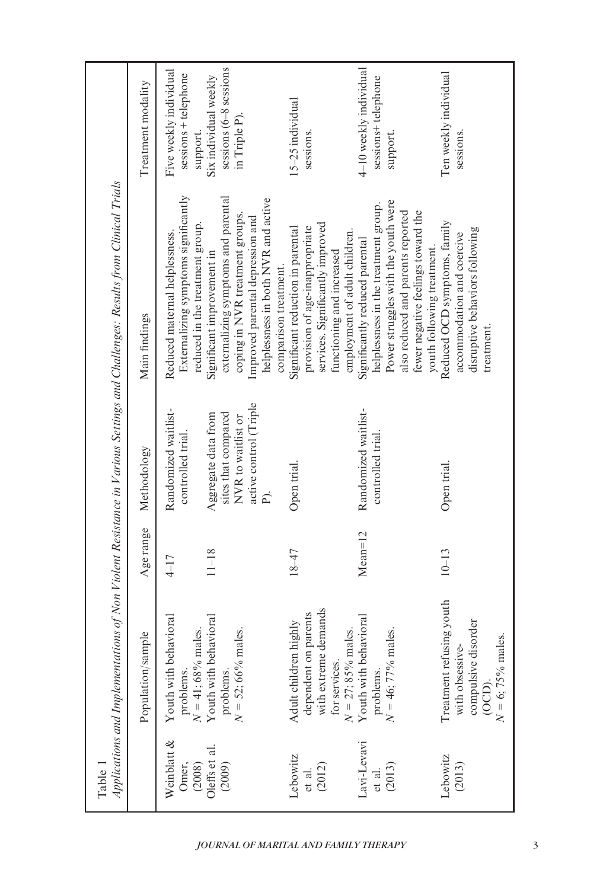|                                                                                                                             | Treatment modality | $s_{\text{essions}}$ ( $6-8$ sessions<br>Five weekly individual<br>sessions + telephone<br>Six individual weekly<br>in Triple P).<br>support.                                                                                                                                                                         | 15-25 individual<br>sessions.                                                                                                                                         | 4–10 weekly individual<br>sessions+ telephone<br>support.                                                                                                                                | Ten weekly individual<br>sessions.                                                                                                       |
|-----------------------------------------------------------------------------------------------------------------------------|--------------------|-----------------------------------------------------------------------------------------------------------------------------------------------------------------------------------------------------------------------------------------------------------------------------------------------------------------------|-----------------------------------------------------------------------------------------------------------------------------------------------------------------------|------------------------------------------------------------------------------------------------------------------------------------------------------------------------------------------|------------------------------------------------------------------------------------------------------------------------------------------|
| Applications and Implementations of Non Violent Resistance in Various Settings and Challenges: Results from Clinical Trials | Main findings      | externalizing symptoms and parental<br>Externalizing symptoms significantly<br>helplessness in both NVR and active<br>coping in NVR treatment groups.<br>Improved parental depression and<br>reduced in the treatment group.<br>Reduced maternal helplessness.<br>Significant improvement in<br>comparison treatment. | services. Significantly improved<br>Significant reduction in parental<br>provision of age-inappropriate<br>employment of adult children.<br>functioning and increased | Power struggles with the youth were<br>helplessness in the treatment group.<br>also reduced and parents reported<br>fewer negative feelings toward the<br>Significantly reduced parental | Reduced OCD symptoms, family<br>disruptive behaviors following<br>accommodation and coercive<br>youth following treatment.<br>treatment. |
|                                                                                                                             | Methodology        | active control (Triple<br>Randomized waitlist-<br>sites that compared<br>Aggregate data from<br>NVR to waitlist or<br>controlled trial.<br>$\hat{\mathsf{p}}$                                                                                                                                                         | Open trial.                                                                                                                                                           | Randomized waitlist-<br>controlled trial.                                                                                                                                                | Open trial.                                                                                                                              |
|                                                                                                                             | Age range          | $11 - 18$<br>$4 - 17$                                                                                                                                                                                                                                                                                                 | $18 - 47$                                                                                                                                                             | $Mean=12$                                                                                                                                                                                | $10 - 13$                                                                                                                                |
|                                                                                                                             | Population/sample  | Youth with behavioral<br>Youth with behavioral<br>$N = 52$ ; 66% males.<br>$N = 41$ ; 68% males.<br>problems.<br>problems.                                                                                                                                                                                            | with extreme demands<br>dependent on parents<br>Adult children highly<br>$N = 27; 85\%$ males.<br>for services.                                                       | Youth with behavioral<br>$\overline{N}$ = 46; 77% males.<br>problems.                                                                                                                    | Treatment refusing youth<br>compulsive disorder<br>$N = 6$ ; 75% males.<br>with obsessive-<br>(OCD).                                     |
| Table 1                                                                                                                     |                    | Weinblatt &<br>Oleffs et al.<br>Omer,<br>(2009)<br>(2008)                                                                                                                                                                                                                                                             | Lebowitz<br>(2012)<br>et al.                                                                                                                                          | Lavi-Levavi<br>(2013)<br>$et$ al.                                                                                                                                                        | Lebowitz<br>(2013)                                                                                                                       |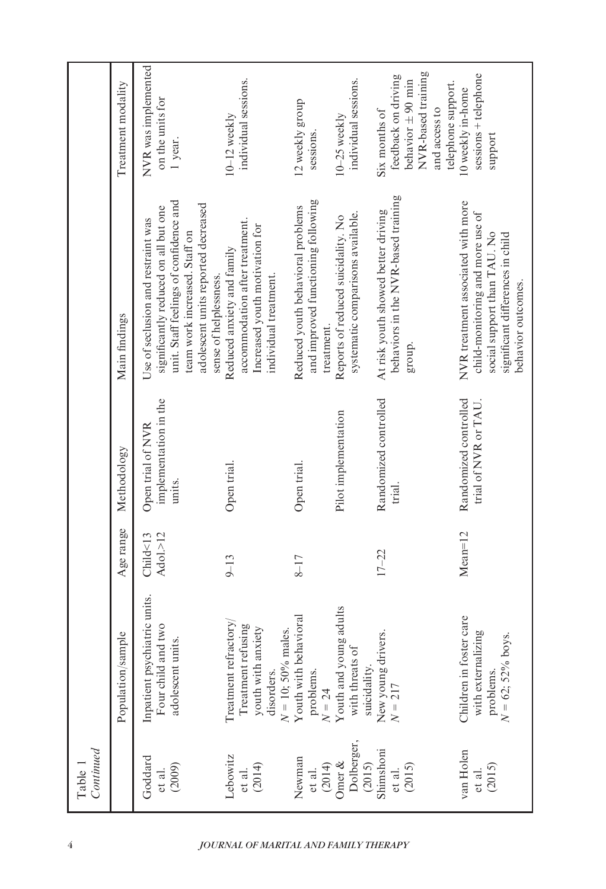| Continued<br>Table:               |                                                                                                         |                      |                                                      |                                                                                                                                                                                                                        |                                                                                                                            |
|-----------------------------------|---------------------------------------------------------------------------------------------------------|----------------------|------------------------------------------------------|------------------------------------------------------------------------------------------------------------------------------------------------------------------------------------------------------------------------|----------------------------------------------------------------------------------------------------------------------------|
|                                   | Population/sample                                                                                       | Age range            | Methodology                                          | Main findings                                                                                                                                                                                                          | Treatment modality                                                                                                         |
| Goddard<br>(2009)<br>et al.       | Inpatient psychiatric units.<br>Four child and two<br>adolescent units.                                 | Adol.>12<br>Child<13 | implementation in the<br>Open trial of NVR<br>units. | unit. Staff feelings of confidence and<br>adolescent units reported decreased<br>significantly reduced on all but one<br>Use of seclusion and restraint was<br>team work increased. Staff on<br>sense of helplessness. | NVR was implemented<br>on the units for<br>1 year.                                                                         |
| Lebowitz<br>(2014)<br>et al.      | Treatment refractory<br>Treatment refusing<br>youth with anxiety<br>$N = 10$ ; 50% males.<br>disorders. | $9 - 13$             | Open trial.                                          | accommodation after treatment.<br>Increased youth motivation for<br>Reduced anxiety and family<br>individual treatment.                                                                                                | individual sessions.<br>$10-12$ weekly                                                                                     |
| Newman<br>(2014)<br>et al.        | Youth with behavioral<br>problems.<br>$N = 24$                                                          | $8 - 17$             | Open trial.                                          | and improved functioning following<br>Reduced youth behavioral problems<br>treatment.                                                                                                                                  | 12 weekly group<br>sessions.                                                                                               |
| Dolberger,<br>Omer $\&$<br>(2015) | Youth and young adults<br>with threats of<br>suicidality.                                               |                      | Pilot implementation                                 | systematic comparisons available.<br>Reports of reduced suicidality. No                                                                                                                                                | individual sessions.<br>$10-25$ weekly                                                                                     |
| Shimshoni<br>(2015)<br>et al.     | New young drivers.<br>$N = 217$                                                                         | $17 - 22$            | Randomized controlled<br>trial.                      | behaviors in the NVR-based training<br>At risk youth showed better driving<br>group.                                                                                                                                   | NVR-based training<br>feedback on driving<br>behavior $\pm$ 90 min<br>telephone support.<br>and access to<br>Six months of |
| van Holen<br>(2015)<br>et al.     | Children in foster care<br>with externalizing<br>$N = 62$ ; 52% boys.<br>problems                       | $Mean=12$            | Randomized controlled<br>trial of NVR or TAU.        | NVR treatment associated with more<br>child-monitoring and more use of<br>social support than TAU. No<br>significant differences in child<br>behavior outcomes.                                                        | sessions + telephone<br>10 weekly in-home<br>support                                                                       |

4 JOURNAL OF MARITAL AND FAMILY THERAPY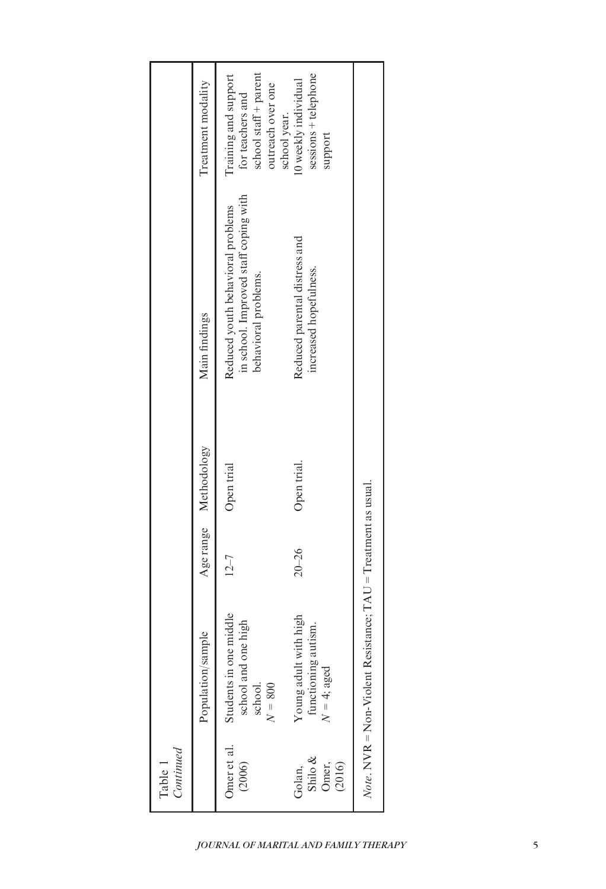| Continued<br>Table 1                    |                                                                                   |           |                       |                                                                                                    |                                                                                                        |
|-----------------------------------------|-----------------------------------------------------------------------------------|-----------|-----------------------|----------------------------------------------------------------------------------------------------|--------------------------------------------------------------------------------------------------------|
|                                         | Population/sample                                                                 |           | Age range Methodology | Main findings                                                                                      | Treatment modality                                                                                     |
| Omer et al.<br>(2006)                   | Students in one middle<br>school and one high<br>school.<br>$N = 800$             | $12 - 7$  | Open trial            | in school. Improved staff coping with<br>Reduced youth behavioral problems<br>behavioral problems. | school staff + parent<br>Training and support<br>outreach over one<br>for teachers and<br>school year. |
| Shilo $\&$<br>(2016)<br>Omer,<br>Golan, | Young adult with high<br>functioning autism.<br>$N = 4$ ; aged                    | $20 - 26$ | Open trial.           | Reduced parental distress and<br>increased hopefulness.                                            | sessions + telephone<br>10 weekly individual<br>support                                                |
|                                         | <i>Note</i> . NVR = Non-Violent Resistance; $TAU = T_{\text{reatment}}$ as usual. |           |                       |                                                                                                    |                                                                                                        |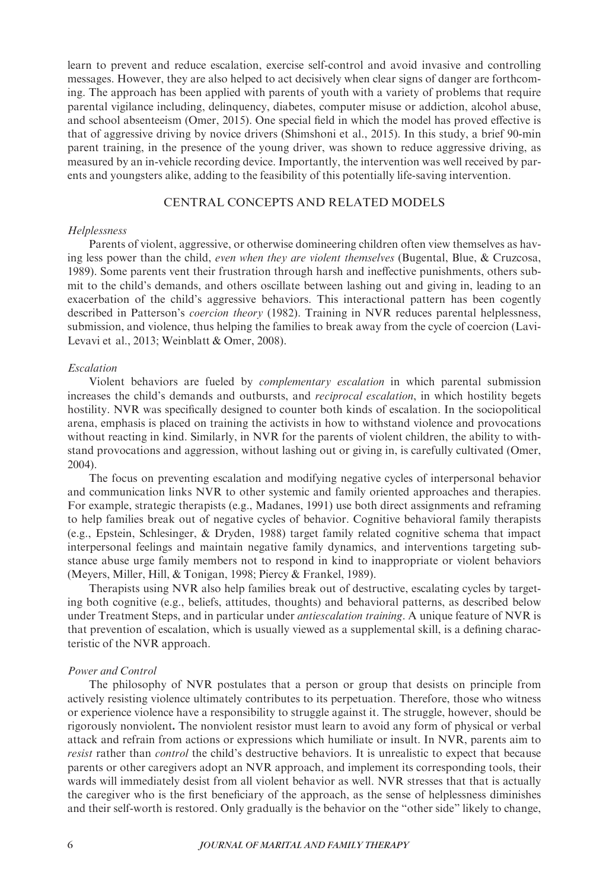learn to prevent and reduce escalation, exercise self-control and avoid invasive and controlling messages. However, they are also helped to act decisively when clear signs of danger are forthcoming. The approach has been applied with parents of youth with a variety of problems that require parental vigilance including, delinquency, diabetes, computer misuse or addiction, alcohol abuse, and school absenteeism (Omer, 2015). One special field in which the model has proved effective is that of aggressive driving by novice drivers (Shimshoni et al., 2015). In this study, a brief 90-min parent training, in the presence of the young driver, was shown to reduce aggressive driving, as measured by an in-vehicle recording device. Importantly, the intervention was well received by parents and youngsters alike, adding to the feasibility of this potentially life-saving intervention.

# CENTRAL CONCEPTS AND RELATED MODELS

### Helplessness

Parents of violent, aggressive, or otherwise domineering children often view themselves as having less power than the child, even when they are violent themselves (Bugental, Blue, & Cruzcosa, 1989). Some parents vent their frustration through harsh and ineffective punishments, others submit to the child's demands, and others oscillate between lashing out and giving in, leading to an exacerbation of the child's aggressive behaviors. This interactional pattern has been cogently described in Patterson's coercion theory (1982). Training in NVR reduces parental helplessness, submission, and violence, thus helping the families to break away from the cycle of coercion (Lavi-Levavi et al., 2013; Weinblatt & Omer, 2008).

#### Escalation

Violent behaviors are fueled by complementary escalation in which parental submission increases the child's demands and outbursts, and *reciprocal escalation*, in which hostility begets hostility. NVR was specifically designed to counter both kinds of escalation. In the sociopolitical arena, emphasis is placed on training the activists in how to withstand violence and provocations without reacting in kind. Similarly, in NVR for the parents of violent children, the ability to withstand provocations and aggression, without lashing out or giving in, is carefully cultivated (Omer, 2004).

The focus on preventing escalation and modifying negative cycles of interpersonal behavior and communication links NVR to other systemic and family oriented approaches and therapies. For example, strategic therapists (e.g., Madanes, 1991) use both direct assignments and reframing to help families break out of negative cycles of behavior. Cognitive behavioral family therapists (e.g., Epstein, Schlesinger, & Dryden, 1988) target family related cognitive schema that impact interpersonal feelings and maintain negative family dynamics, and interventions targeting substance abuse urge family members not to respond in kind to inappropriate or violent behaviors (Meyers, Miller, Hill, & Tonigan, 1998; Piercy & Frankel, 1989).

Therapists using NVR also help families break out of destructive, escalating cycles by targeting both cognitive (e.g., beliefs, attitudes, thoughts) and behavioral patterns, as described below under Treatment Steps, and in particular under antiescalation training. A unique feature of NVR is that prevention of escalation, which is usually viewed as a supplemental skill, is a defining characteristic of the NVR approach.

#### Power and Control

The philosophy of NVR postulates that a person or group that desists on principle from actively resisting violence ultimately contributes to its perpetuation. Therefore, those who witness or experience violence have a responsibility to struggle against it. The struggle, however, should be rigorously nonviolent. The nonviolent resistor must learn to avoid any form of physical or verbal attack and refrain from actions or expressions which humiliate or insult. In NVR, parents aim to resist rather than control the child's destructive behaviors. It is unrealistic to expect that because parents or other caregivers adopt an NVR approach, and implement its corresponding tools, their wards will immediately desist from all violent behavior as well. NVR stresses that that is actually the caregiver who is the first beneficiary of the approach, as the sense of helplessness diminishes and their self-worth is restored. Only gradually is the behavior on the "other side" likely to change,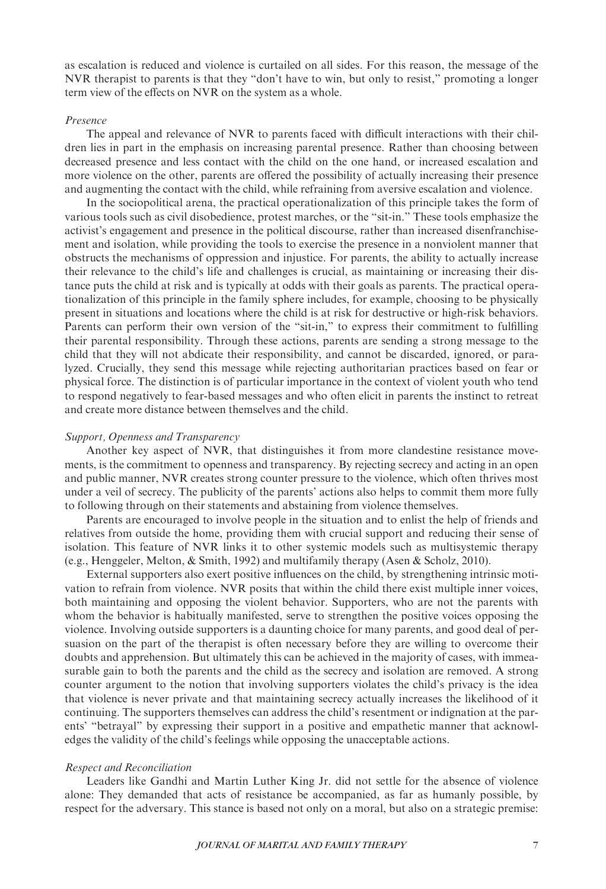as escalation is reduced and violence is curtailed on all sides. For this reason, the message of the NVR therapist to parents is that they "don't have to win, but only to resist," promoting a longer term view of the effects on NVR on the system as a whole.

#### Presence

The appeal and relevance of NVR to parents faced with difficult interactions with their children lies in part in the emphasis on increasing parental presence. Rather than choosing between decreased presence and less contact with the child on the one hand, or increased escalation and more violence on the other, parents are offered the possibility of actually increasing their presence and augmenting the contact with the child, while refraining from aversive escalation and violence.

In the sociopolitical arena, the practical operationalization of this principle takes the form of various tools such as civil disobedience, protest marches, or the "sit-in." These tools emphasize the activist's engagement and presence in the political discourse, rather than increased disenfranchisement and isolation, while providing the tools to exercise the presence in a nonviolent manner that obstructs the mechanisms of oppression and injustice. For parents, the ability to actually increase their relevance to the child's life and challenges is crucial, as maintaining or increasing their distance puts the child at risk and is typically at odds with their goals as parents. The practical operationalization of this principle in the family sphere includes, for example, choosing to be physically present in situations and locations where the child is at risk for destructive or high-risk behaviors. Parents can perform their own version of the "sit-in," to express their commitment to fulfilling their parental responsibility. Through these actions, parents are sending a strong message to the child that they will not abdicate their responsibility, and cannot be discarded, ignored, or paralyzed. Crucially, they send this message while rejecting authoritarian practices based on fear or physical force. The distinction is of particular importance in the context of violent youth who tend to respond negatively to fear-based messages and who often elicit in parents the instinct to retreat and create more distance between themselves and the child.

#### Support, Openness and Transparency

Another key aspect of NVR, that distinguishes it from more clandestine resistance movements, is the commitment to openness and transparency. By rejecting secrecy and acting in an open and public manner, NVR creates strong counter pressure to the violence, which often thrives most under a veil of secrecy. The publicity of the parents' actions also helps to commit them more fully to following through on their statements and abstaining from violence themselves.

Parents are encouraged to involve people in the situation and to enlist the help of friends and relatives from outside the home, providing them with crucial support and reducing their sense of isolation. This feature of NVR links it to other systemic models such as multisystemic therapy (e.g., Henggeler, Melton, & Smith, 1992) and multifamily therapy (Asen & Scholz, 2010).

External supporters also exert positive influences on the child, by strengthening intrinsic motivation to refrain from violence. NVR posits that within the child there exist multiple inner voices, both maintaining and opposing the violent behavior. Supporters, who are not the parents with whom the behavior is habitually manifested, serve to strengthen the positive voices opposing the violence. Involving outside supporters is a daunting choice for many parents, and good deal of persuasion on the part of the therapist is often necessary before they are willing to overcome their doubts and apprehension. But ultimately this can be achieved in the majority of cases, with immeasurable gain to both the parents and the child as the secrecy and isolation are removed. A strong counter argument to the notion that involving supporters violates the child's privacy is the idea that violence is never private and that maintaining secrecy actually increases the likelihood of it continuing. The supporters themselves can address the child's resentment or indignation at the parents' "betrayal" by expressing their support in a positive and empathetic manner that acknowledges the validity of the child's feelings while opposing the unacceptable actions.

#### Respect and Reconciliation

Leaders like Gandhi and Martin Luther King Jr. did not settle for the absence of violence alone: They demanded that acts of resistance be accompanied, as far as humanly possible, by respect for the adversary. This stance is based not only on a moral, but also on a strategic premise: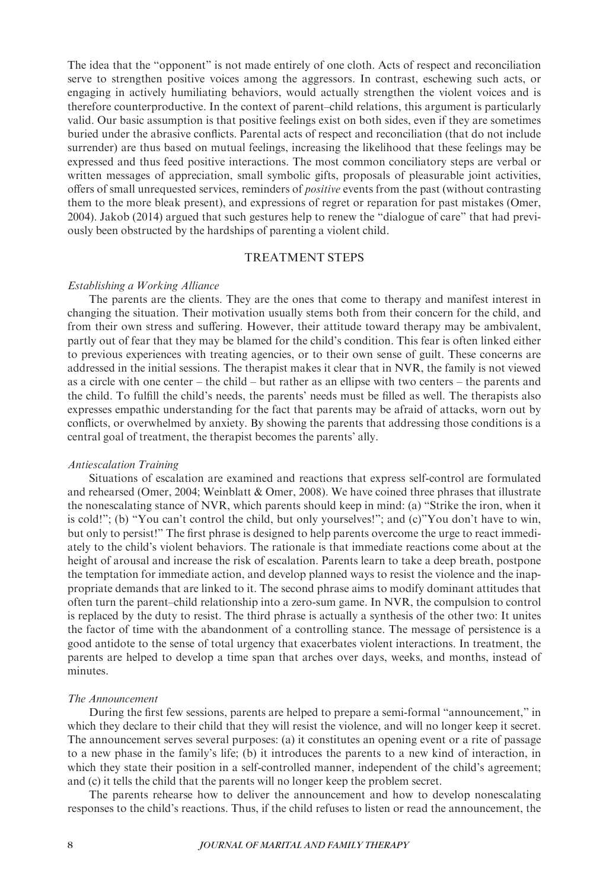The idea that the "opponent" is not made entirely of one cloth. Acts of respect and reconciliation serve to strengthen positive voices among the aggressors. In contrast, eschewing such acts, or engaging in actively humiliating behaviors, would actually strengthen the violent voices and is therefore counterproductive. In the context of parent–child relations, this argument is particularly valid. Our basic assumption is that positive feelings exist on both sides, even if they are sometimes buried under the abrasive conflicts. Parental acts of respect and reconciliation (that do not include surrender) are thus based on mutual feelings, increasing the likelihood that these feelings may be expressed and thus feed positive interactions. The most common conciliatory steps are verbal or written messages of appreciation, small symbolic gifts, proposals of pleasurable joint activities, offers of small unrequested services, reminders of positive events from the past (without contrasting them to the more bleak present), and expressions of regret or reparation for past mistakes (Omer, 2004). Jakob (2014) argued that such gestures help to renew the "dialogue of care" that had previously been obstructed by the hardships of parenting a violent child.

# TREATMENT STEPS

### Establishing a Working Alliance

The parents are the clients. They are the ones that come to therapy and manifest interest in changing the situation. Their motivation usually stems both from their concern for the child, and from their own stress and suffering. However, their attitude toward therapy may be ambivalent, partly out of fear that they may be blamed for the child's condition. This fear is often linked either to previous experiences with treating agencies, or to their own sense of guilt. These concerns are addressed in the initial sessions. The therapist makes it clear that in NVR, the family is not viewed as a circle with one center – the child – but rather as an ellipse with two centers – the parents and the child. To fulfill the child's needs, the parents' needs must be filled as well. The therapists also expresses empathic understanding for the fact that parents may be afraid of attacks, worn out by conflicts, or overwhelmed by anxiety. By showing the parents that addressing those conditions is a central goal of treatment, the therapist becomes the parents' ally.

## Antiescalation Training

Situations of escalation are examined and reactions that express self-control are formulated and rehearsed (Omer, 2004; Weinblatt & Omer, 2008). We have coined three phrases that illustrate the nonescalating stance of NVR, which parents should keep in mind: (a) "Strike the iron, when it is cold!"; (b) "You can't control the child, but only yourselves!"; and (c)"You don't have to win, but only to persist!" The first phrase is designed to help parents overcome the urge to react immediately to the child's violent behaviors. The rationale is that immediate reactions come about at the height of arousal and increase the risk of escalation. Parents learn to take a deep breath, postpone the temptation for immediate action, and develop planned ways to resist the violence and the inappropriate demands that are linked to it. The second phrase aims to modify dominant attitudes that often turn the parent–child relationship into a zero-sum game. In NVR, the compulsion to control is replaced by the duty to resist. The third phrase is actually a synthesis of the other two: It unites the factor of time with the abandonment of a controlling stance. The message of persistence is a good antidote to the sense of total urgency that exacerbates violent interactions. In treatment, the parents are helped to develop a time span that arches over days, weeks, and months, instead of minutes.

#### The Announcement

During the first few sessions, parents are helped to prepare a semi-formal "announcement," in which they declare to their child that they will resist the violence, and will no longer keep it secret. The announcement serves several purposes: (a) it constitutes an opening event or a rite of passage to a new phase in the family's life; (b) it introduces the parents to a new kind of interaction, in which they state their position in a self-controlled manner, independent of the child's agreement; and (c) it tells the child that the parents will no longer keep the problem secret.

The parents rehearse how to deliver the announcement and how to develop nonescalating responses to the child's reactions. Thus, if the child refuses to listen or read the announcement, the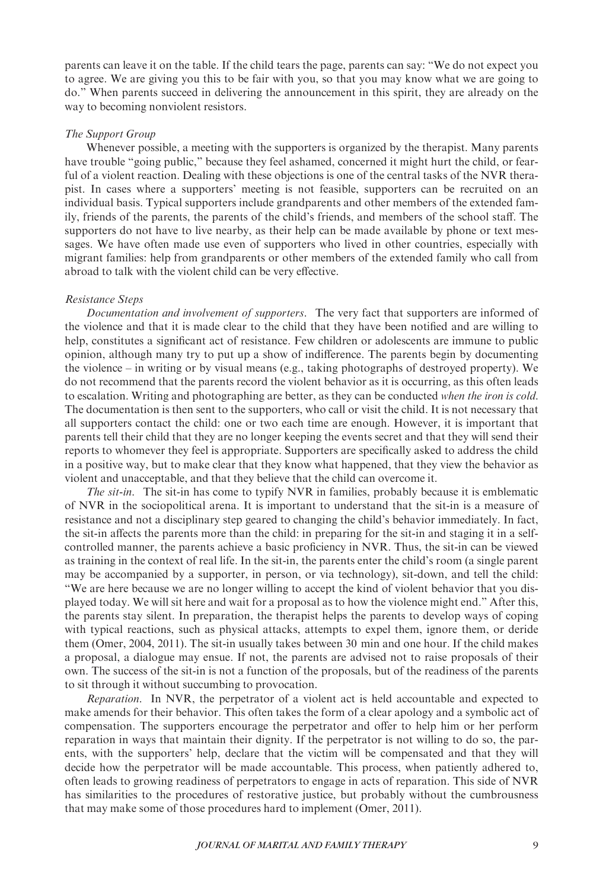parents can leave it on the table. If the child tears the page, parents can say: "We do not expect you to agree. We are giving you this to be fair with you, so that you may know what we are going to do." When parents succeed in delivering the announcement in this spirit, they are already on the way to becoming nonviolent resistors.

### The Support Group

Whenever possible, a meeting with the supporters is organized by the therapist. Many parents have trouble "going public," because they feel ashamed, concerned it might hurt the child, or fearful of a violent reaction. Dealing with these objections is one of the central tasks of the NVR therapist. In cases where a supporters' meeting is not feasible, supporters can be recruited on an individual basis. Typical supporters include grandparents and other members of the extended family, friends of the parents, the parents of the child's friends, and members of the school staff. The supporters do not have to live nearby, as their help can be made available by phone or text messages. We have often made use even of supporters who lived in other countries, especially with migrant families: help from grandparents or other members of the extended family who call from abroad to talk with the violent child can be very effective.

#### Resistance Steps

Documentation and involvement of supporters. The very fact that supporters are informed of the violence and that it is made clear to the child that they have been notified and are willing to help, constitutes a significant act of resistance. Few children or adolescents are immune to public opinion, although many try to put up a show of indifference. The parents begin by documenting the violence – in writing or by visual means (e.g., taking photographs of destroyed property). We do not recommend that the parents record the violent behavior as it is occurring, as this often leads to escalation. Writing and photographing are better, as they can be conducted when the iron is cold. The documentation is then sent to the supporters, who call or visit the child. It is not necessary that all supporters contact the child: one or two each time are enough. However, it is important that parents tell their child that they are no longer keeping the events secret and that they will send their reports to whomever they feel is appropriate. Supporters are specifically asked to address the child in a positive way, but to make clear that they know what happened, that they view the behavior as violent and unacceptable, and that they believe that the child can overcome it.

The sit-in. The sit-in has come to typify NVR in families, probably because it is emblematic of NVR in the sociopolitical arena. It is important to understand that the sit-in is a measure of resistance and not a disciplinary step geared to changing the child's behavior immediately. In fact, the sit-in affects the parents more than the child: in preparing for the sit-in and staging it in a selfcontrolled manner, the parents achieve a basic proficiency in NVR. Thus, the sit-in can be viewed as training in the context of real life. In the sit-in, the parents enter the child's room (a single parent may be accompanied by a supporter, in person, or via technology), sit-down, and tell the child: "We are here because we are no longer willing to accept the kind of violent behavior that you displayed today. We will sit here and wait for a proposal as to how the violence might end." After this, the parents stay silent. In preparation, the therapist helps the parents to develop ways of coping with typical reactions, such as physical attacks, attempts to expel them, ignore them, or deride them (Omer, 2004, 2011). The sit-in usually takes between 30 min and one hour. If the child makes a proposal, a dialogue may ensue. If not, the parents are advised not to raise proposals of their own. The success of the sit-in is not a function of the proposals, but of the readiness of the parents to sit through it without succumbing to provocation.

Reparation. In NVR, the perpetrator of a violent act is held accountable and expected to make amends for their behavior. This often takes the form of a clear apology and a symbolic act of compensation. The supporters encourage the perpetrator and offer to help him or her perform reparation in ways that maintain their dignity. If the perpetrator is not willing to do so, the parents, with the supporters' help, declare that the victim will be compensated and that they will decide how the perpetrator will be made accountable. This process, when patiently adhered to, often leads to growing readiness of perpetrators to engage in acts of reparation. This side of NVR has similarities to the procedures of restorative justice, but probably without the cumbrousness that may make some of those procedures hard to implement (Omer, 2011).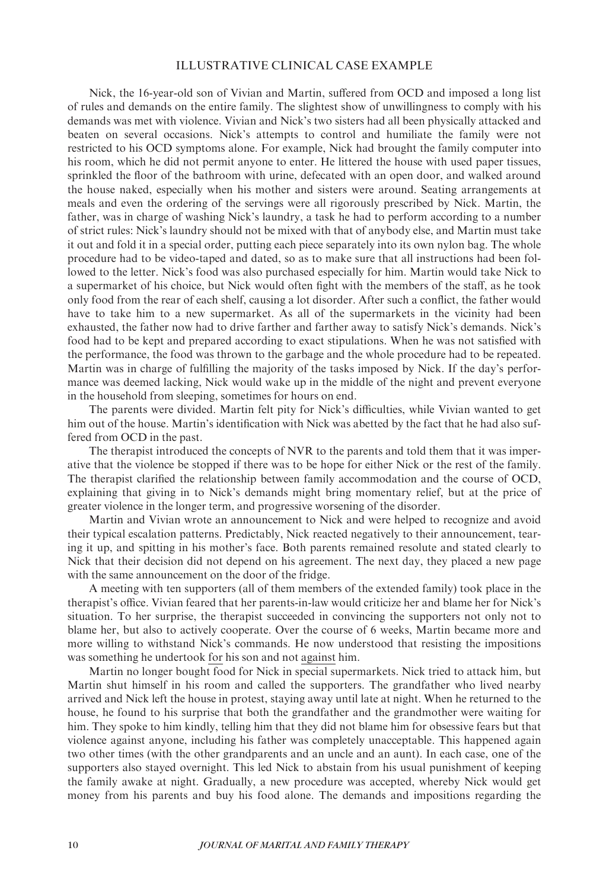## ILLUSTRATIVE CLINICAL CASE EXAMPLE

Nick, the 16-year-old son of Vivian and Martin, suffered from OCD and imposed a long list of rules and demands on the entire family. The slightest show of unwillingness to comply with his demands was met with violence. Vivian and Nick's two sisters had all been physically attacked and beaten on several occasions. Nick's attempts to control and humiliate the family were not restricted to his OCD symptoms alone. For example, Nick had brought the family computer into his room, which he did not permit anyone to enter. He littered the house with used paper tissues, sprinkled the floor of the bathroom with urine, defecated with an open door, and walked around the house naked, especially when his mother and sisters were around. Seating arrangements at meals and even the ordering of the servings were all rigorously prescribed by Nick. Martin, the father, was in charge of washing Nick's laundry, a task he had to perform according to a number of strict rules: Nick's laundry should not be mixed with that of anybody else, and Martin must take it out and fold it in a special order, putting each piece separately into its own nylon bag. The whole procedure had to be video-taped and dated, so as to make sure that all instructions had been followed to the letter. Nick's food was also purchased especially for him. Martin would take Nick to a supermarket of his choice, but Nick would often fight with the members of the staff, as he took only food from the rear of each shelf, causing a lot disorder. After such a conflict, the father would have to take him to a new supermarket. As all of the supermarkets in the vicinity had been exhausted, the father now had to drive farther and farther away to satisfy Nick's demands. Nick's food had to be kept and prepared according to exact stipulations. When he was not satisfied with the performance, the food was thrown to the garbage and the whole procedure had to be repeated. Martin was in charge of fulfilling the majority of the tasks imposed by Nick. If the day's performance was deemed lacking, Nick would wake up in the middle of the night and prevent everyone in the household from sleeping, sometimes for hours on end.

The parents were divided. Martin felt pity for Nick's difficulties, while Vivian wanted to get him out of the house. Martin's identification with Nick was abetted by the fact that he had also suffered from OCD in the past.

The therapist introduced the concepts of NVR to the parents and told them that it was imperative that the violence be stopped if there was to be hope for either Nick or the rest of the family. The therapist clarified the relationship between family accommodation and the course of OCD, explaining that giving in to Nick's demands might bring momentary relief, but at the price of greater violence in the longer term, and progressive worsening of the disorder.

Martin and Vivian wrote an announcement to Nick and were helped to recognize and avoid their typical escalation patterns. Predictably, Nick reacted negatively to their announcement, tearing it up, and spitting in his mother's face. Both parents remained resolute and stated clearly to Nick that their decision did not depend on his agreement. The next day, they placed a new page with the same announcement on the door of the fridge.

A meeting with ten supporters (all of them members of the extended family) took place in the therapist's office. Vivian feared that her parents-in-law would criticize her and blame her for Nick's situation. To her surprise, the therapist succeeded in convincing the supporters not only not to blame her, but also to actively cooperate. Over the course of 6 weeks, Martin became more and more willing to withstand Nick's commands. He now understood that resisting the impositions was something he undertook for his son and not against him.

Martin no longer bought food for Nick in special supermarkets. Nick tried to attack him, but Martin shut himself in his room and called the supporters. The grandfather who lived nearby arrived and Nick left the house in protest, staying away until late at night. When he returned to the house, he found to his surprise that both the grandfather and the grandmother were waiting for him. They spoke to him kindly, telling him that they did not blame him for obsessive fears but that violence against anyone, including his father was completely unacceptable. This happened again two other times (with the other grandparents and an uncle and an aunt). In each case, one of the supporters also stayed overnight. This led Nick to abstain from his usual punishment of keeping the family awake at night. Gradually, a new procedure was accepted, whereby Nick would get money from his parents and buy his food alone. The demands and impositions regarding the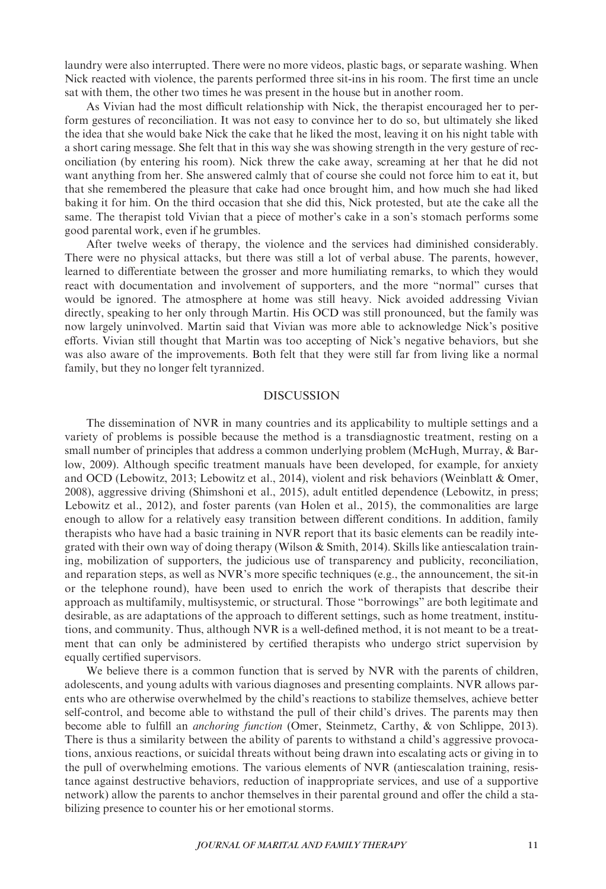laundry were also interrupted. There were no more videos, plastic bags, or separate washing. When Nick reacted with violence, the parents performed three sit-ins in his room. The first time an uncle sat with them, the other two times he was present in the house but in another room.

As Vivian had the most difficult relationship with Nick, the therapist encouraged her to perform gestures of reconciliation. It was not easy to convince her to do so, but ultimately she liked the idea that she would bake Nick the cake that he liked the most, leaving it on his night table with a short caring message. She felt that in this way she was showing strength in the very gesture of reconciliation (by entering his room). Nick threw the cake away, screaming at her that he did not want anything from her. She answered calmly that of course she could not force him to eat it, but that she remembered the pleasure that cake had once brought him, and how much she had liked baking it for him. On the third occasion that she did this, Nick protested, but ate the cake all the same. The therapist told Vivian that a piece of mother's cake in a son's stomach performs some good parental work, even if he grumbles.

After twelve weeks of therapy, the violence and the services had diminished considerably. There were no physical attacks, but there was still a lot of verbal abuse. The parents, however, learned to differentiate between the grosser and more humiliating remarks, to which they would react with documentation and involvement of supporters, and the more "normal" curses that would be ignored. The atmosphere at home was still heavy. Nick avoided addressing Vivian directly, speaking to her only through Martin. His OCD was still pronounced, but the family was now largely uninvolved. Martin said that Vivian was more able to acknowledge Nick's positive efforts. Vivian still thought that Martin was too accepting of Nick's negative behaviors, but she was also aware of the improvements. Both felt that they were still far from living like a normal family, but they no longer felt tyrannized.

## DISCUSSION

The dissemination of NVR in many countries and its applicability to multiple settings and a variety of problems is possible because the method is a transdiagnostic treatment, resting on a small number of principles that address a common underlying problem (McHugh, Murray, & Barlow, 2009). Although specific treatment manuals have been developed, for example, for anxiety and OCD (Lebowitz, 2013; Lebowitz et al., 2014), violent and risk behaviors (Weinblatt & Omer, 2008), aggressive driving (Shimshoni et al., 2015), adult entitled dependence (Lebowitz, in press; Lebowitz et al., 2012), and foster parents (van Holen et al., 2015), the commonalities are large enough to allow for a relatively easy transition between different conditions. In addition, family therapists who have had a basic training in NVR report that its basic elements can be readily integrated with their own way of doing therapy (Wilson & Smith, 2014). Skills like antiescalation training, mobilization of supporters, the judicious use of transparency and publicity, reconciliation, and reparation steps, as well as NVR's more specific techniques (e.g., the announcement, the sit-in or the telephone round), have been used to enrich the work of therapists that describe their approach as multifamily, multisystemic, or structural. Those "borrowings" are both legitimate and desirable, as are adaptations of the approach to different settings, such as home treatment, institutions, and community. Thus, although NVR is a well-defined method, it is not meant to be a treatment that can only be administered by certified therapists who undergo strict supervision by equally certified supervisors.

We believe there is a common function that is served by NVR with the parents of children, adolescents, and young adults with various diagnoses and presenting complaints. NVR allows parents who are otherwise overwhelmed by the child's reactions to stabilize themselves, achieve better self-control, and become able to withstand the pull of their child's drives. The parents may then become able to fulfill an *anchoring function* (Omer, Steinmetz, Carthy, & von Schlippe, 2013). There is thus a similarity between the ability of parents to withstand a child's aggressive provocations, anxious reactions, or suicidal threats without being drawn into escalating acts or giving in to the pull of overwhelming emotions. The various elements of NVR (antiescalation training, resistance against destructive behaviors, reduction of inappropriate services, and use of a supportive network) allow the parents to anchor themselves in their parental ground and offer the child a stabilizing presence to counter his or her emotional storms.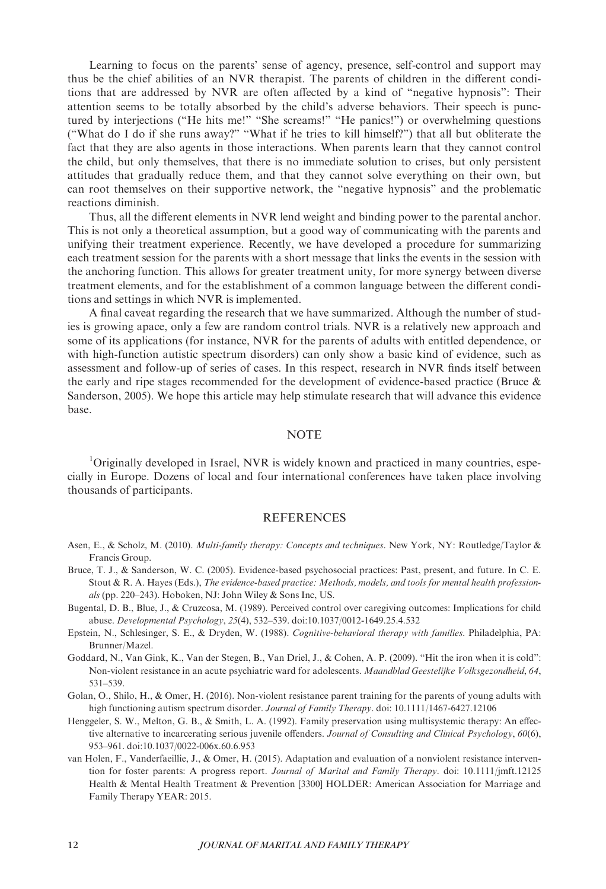Learning to focus on the parents' sense of agency, presence, self-control and support may thus be the chief abilities of an NVR therapist. The parents of children in the different conditions that are addressed by NVR are often affected by a kind of "negative hypnosis": Their attention seems to be totally absorbed by the child's adverse behaviors. Their speech is punctured by interjections ("He hits me!" "She screams!" "He panics!") or overwhelming questions ("What do I do if she runs away?" "What if he tries to kill himself?") that all but obliterate the fact that they are also agents in those interactions. When parents learn that they cannot control the child, but only themselves, that there is no immediate solution to crises, but only persistent attitudes that gradually reduce them, and that they cannot solve everything on their own, but can root themselves on their supportive network, the "negative hypnosis" and the problematic reactions diminish.

Thus, all the different elements in NVR lend weight and binding power to the parental anchor. This is not only a theoretical assumption, but a good way of communicating with the parents and unifying their treatment experience. Recently, we have developed a procedure for summarizing each treatment session for the parents with a short message that links the events in the session with the anchoring function. This allows for greater treatment unity, for more synergy between diverse treatment elements, and for the establishment of a common language between the different conditions and settings in which NVR is implemented.

A final caveat regarding the research that we have summarized. Although the number of studies is growing apace, only a few are random control trials. NVR is a relatively new approach and some of its applications (for instance, NVR for the parents of adults with entitled dependence, or with high-function autistic spectrum disorders) can only show a basic kind of evidence, such as assessment and follow-up of series of cases. In this respect, research in NVR finds itself between the early and ripe stages recommended for the development of evidence-based practice (Bruce & Sanderson, 2005). We hope this article may help stimulate research that will advance this evidence base.

### **NOTE**

<sup>1</sup>Originally developed in Israel, NVR is widely known and practiced in many countries, especially in Europe. Dozens of local and four international conferences have taken place involving thousands of participants.

### **REFERENCES**

- Asen, E., & Scholz, M. (2010). Multi-family therapy: Concepts and techniques. New York, NY: Routledge/Taylor & Francis Group.
- Bruce, T. J., & Sanderson, W. C. (2005). Evidence-based psychosocial practices: Past, present, and future. In C. E. Stout & R. A. Hayes (Eds.), The evidence-based practice: Methods, models, and tools for mental health professionals (pp. 220–243). Hoboken, NJ: John Wiley & Sons Inc, US.
- Bugental, D. B., Blue, J., & Cruzcosa, M. (1989). Perceived control over caregiving outcomes: Implications for child abuse. Developmental Psychology, 25(4), 532–539. doi:[10.1037/0012-1649.25.4.532](http://dx.doi.org/10.1037/0012-1649.25.4.532)
- Epstein, N., Schlesinger, S. E., & Dryden, W. (1988). Cognitive-behavioral therapy with families. Philadelphia, PA: Brunner/Mazel.
- Goddard, N., Van Gink, K., Van der Stegen, B., Van Driel, J., & Cohen, A. P. (2009). "Hit the iron when it is cold": Non-violent resistance in an acute psychiatric ward for adolescents. Maandblad Geestelijke Volksgezondheid, 64, 531–539.
- Golan, O., Shilo, H., & Omer, H. (2016). Non-violent resistance parent training for the parents of young adults with high functioning autism spectrum disorder. Journal of Family Therapy. doi: [10.1111/1467-6427.12106](http://dx.doi.org/10.1111/1467-6427.12106)
- Henggeler, S. W., Melton, G. B., & Smith, L. A. (1992). Family preservation using multisystemic therapy: An effective alternative to incarcerating serious juvenile offenders. Journal of Consulting and Clinical Psychology, 60(6), 953–961. doi:[10.1037/0022-006x.60.6.953](http://dx.doi.org/10.1037/0022-006x.60.6.953)
- van Holen, F., Vanderfaeillie, J., & Omer, H. (2015). Adaptation and evaluation of a nonviolent resistance interven-tion for foster parents: A progress report. Journal of Marital and Family Therapy. doi: [10.1111/jmft.12125](http://dx.doi.org/10.1111/jmft.12125) Health & Mental Health Treatment & Prevention [3300] HOLDER: American Association for Marriage and Family Therapy YEAR: 2015.